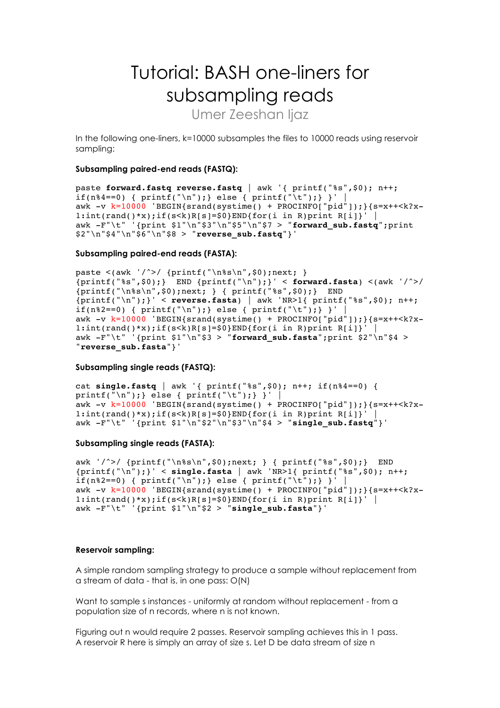# Tutorial: BASH one-liners for subsampling reads

Umer Zeeshan liaz

In the following one-liners, k=10000 subsamples the files to 10000 reads using reservoir sampling:

#### **Subsampling paired-end reads (FASTQ):**

```
paste forward.fastq reverse.fastq | awk '{ printf("%s",$0); n++; 
if(n%4==0) { printf("\n");} else { printf("\t");} }' |
awk -v k=10000 'BEGIN{srand(systime() + PROCINFO["pid"]);}{s=x++<k?x-
1:int(rand('**);if(s\le k)R[s]=\$0}END{for(i in R)print R[i]}' |
awk -F"\t" '{print $1"\n"$3"\n"$5"\n"$7 > "forward_sub.fastq";print 
$2"\n"$4"\n"$6"\n"$8 > "reverse_sub.fastq"}'
```
## **Subsampling paired-end reads (FASTA):**

```
paste <(awk '/^>/ {printf("\n%s\n",$0);next; } 
{printf("%s",$0);} END {printf("\n");}' < forward.fasta) <(awk '/^>/ 
{printf("\n%s\n",$0);next; } { printf("%s",$0);} END 
{printf("\n");}' < reverse.fasta) | awk 'NR>1{ printf("%s",$0); n++; 
if(n%2==0) { printf("\n");} else { printf("\t");} }' | 
awk -v k=10000 'BEGIN{srand(systime() + PROCINFO["pid"]);}{s=x++<k?x-
1:int(rand()*x);if(s<k)R[s]=$0}END{for(i in R)print R[i]}' |
awk -F"\t" '{print $1"\n"$3 > "forward_sub.fasta";print $2"\n"$4 > 
"reverse_sub.fasta"}'
```
## **Subsampling single reads (FASTQ):**

```
cat single.fastq | awk '{ printf("%s",$0); n++; if(n%4==0) { 
printf("\n"); } else { printf("\t"); } }' |
awk -v k=10000 'BEGIN{srand(systime() + PROCINFO["pid"]); } {s=x++<k?x-
1:int(rand('**);if(s<k)R[s]=\$0}END{for(i in R)print R[i]}'
awk -F"\t" '{print $1"\n"$2"\n"$3"\n"$4 > "single_sub.fastq"}'
```
## **Subsampling single reads (FASTA):**

```
awk '/^>/ {printf("\n%s\n",$0);next; } { printf("%s",$0);} END 
{printf("\n");}' < single.fasta | awk 'NR>1{ printf("%s",$0); n++; 
if(n%2 == 0) { printf("\n"); } else { printf("\t"); } }'
awk -v k=10000 'BEGIN{srand(systime() + PROCINFO["pid"]);}{s=x++<k?x-
1:int(rand('**);if(s<k)R[s]=\$0}END{for(i in R)print R[i]}' |
awk -F"\t" '{print $1"\n"$2 > "single_sub.fasta"}'
```
#### **Reservoir sampling:**

A simple random sampling strategy to produce a sample without replacement from a stream of data - that is, in one pass: O(N)

Want to sample s instances - uniformly at random without replacement - from a population size of n records, where n is not known.

Figuring out n would require 2 passes. Reservoir sampling achieves this in 1 pass. A reservoir R here is simply an array of size s. Let D be data stream of size n